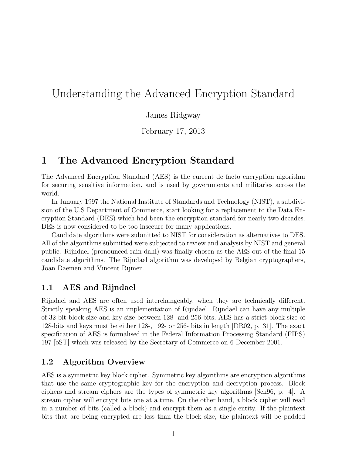# Understanding the Advanced Encryption Standard

#### James Ridgway

February 17, 2013

## **1 The Advanced Encryption Standard**

The Advanced Encryption Standard (AES) is the current de facto encryption algorithm for securing sensitive information, and is used by governments and militaries across the world.

In January 1997 the National Institute of Standards and Technology (NIST), a subdivision of the U.S Department of Commerce, start looking for a replacement to the Data Encryption Standard (DES) which had been the encryption standard for nearly two decades. DES is now considered to be too insecure for many applications.

Candidate algorithms were submitted to NIST for consideration as alternatives to DES. All of the algorithms submitted were subjected to review and analysis by NIST and general public. Rijndael (pronounced rain dahl) was finally chosen as the AES out of the final 15 candidate algorithms. The Rijndael algorithm was developed by Belgian cryptographers, Joan Daemen and Vincent Rijmen.

### **1.1 AES and Rijndael**

Rijndael and AES are often used interchangeably, when they are technically different. Strictly speaking AES is an implementation of Rijndael. Rijndael can have any multiple of 32-bit block size and key size between 128- and 256-bits, AES has a strict block size of 128-bits and keys must be either 128-, 192- or 256- bits in length [DR02, p. 31]. The exact specification of AES is formalised in the Federal Information Processing Standard (FIPS) 197 [oST] which was released by the Secretary of Commerce on 6 December 2001.

### **1.2 Algorithm Overview**

AES is a symmetric key block cipher. Symmetric key algorithms are encryption algorithms that use the same cryptographic key for the encryption and decryption process. Block ciphers and stream ciphers are the types of symmetric key algorithms [Sch96, p. 4]. A stream cipher will encrypt bits one at a time. On the other hand, a block cipher will read in a number of bits (called a block) and encrypt them as a single entity. If the plaintext bits that are being encrypted are less than the block size, the plaintext will be padded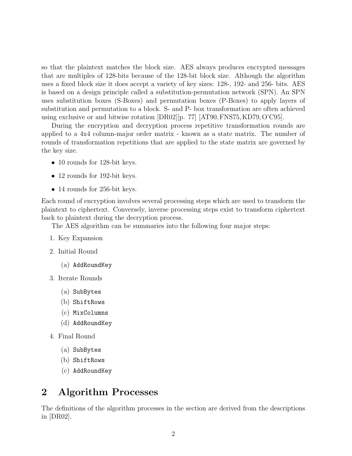so that the plaintext matches the block size. AES always produces encrypted messages that are multiples of 128-bits because of the 128-bit block size. Although the algorithm uses a fixed block size it does accept a variety of key sizes: 128-, 192- and 256- bits. AES is based on a design principle called a substitution-permutation network (SPN). An SPN uses substitution boxes (S-Boxes) and permutation boxes (P-Boxes) to apply layers of substitution and permutation to a block. S- and P- box transformation are often achieved using exclusive or and bitwise rotation [DR02][p. 77] [AT90,FNS75, KD79, O'C95].

During the encryption and decryption process repetitive transformation rounds are applied to a 4x4 column-major order matrix - known as a state matrix. The number of rounds of transformation repetitions that are applied to the state matrix are governed by the key size.

- 10 rounds for 128-bit keys.
- 12 rounds for 192-bit keys.
- 14 rounds for 256-bit keys.

Each round of encryption involves several processing steps which are used to transform the plaintext to ciphertext. Conversely, inverse processing steps exist to transform ciphertext back to plaintext during the decryption process.

The AES algorithm can be summaries into the following four major steps:

- 1. Key Expansion
- 2. Initial Round
	- (a) AddRoundKey
- 3. Iterate Rounds
	- (a) SubBytes
	- (b) ShiftRows
	- (c) MixColumns
	- (d) AddRoundKey
- 4. Final Round
	- (a) SubBytes
	- (b) ShiftRows
	- (c) AddRoundKey

## **2 Algorithm Processes**

The definitions of the algorithm processes in the section are derived from the descriptions in [DR02].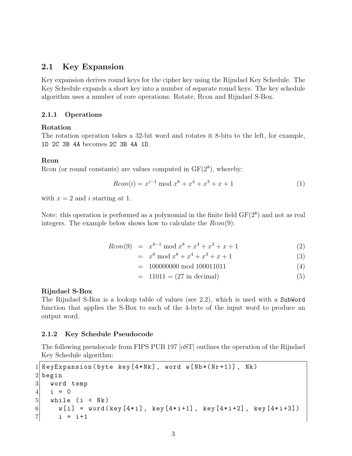#### **2.1 Key Expansion**

Key expansion derives round keys for the cipher key using the Rijndael Key Schedule. The Key Schedule expands a short key into a number of separate round keys. The key schedule algorithm uses a number of core operations: Rotate, Rcon and Rijndael S-Box.

#### **2.1.1 Operations**

#### **Rotation**

The rotation operation takes a 32-bit word and rotates it 8-bits to the left, for example, 1D 2C 3B 4A becomes 2C 3B 4A 1D.

#### **Rcon**

Rcon (or round constants) are values computed in  $GF(2<sup>8</sup>)$ , whereby:

$$
Rcon(i) = x^{i-1} \bmod x^8 + x^4 + x^3 + x + 1 \tag{1}
$$

with  $x = 2$  and *i* starting at 1.

Note: this operation is performed as a polynomial in the finite field  $GF(2<sup>8</sup>)$  and not as real integers. The example below shows how to calculate the *Rcon*(9):

$$
Rcon(9) = x^{9-1} \bmod x^8 + x^4 + x^3 + x + 1 \tag{2}
$$

$$
= x8 \bmod x8 + x4 + x3 + x + 1
$$
 (3)

= 100000000 mod 100011011 (4)

$$
= 11011 = (27 \text{ in decimal}) \tag{5}
$$

#### **Rijndael S-Box**

The Rijndael S-Box is a lookup table of values (see 2.2), which is used with a SubWord function that applies the S-Box to each of the 4-byte of the input word to produce an output word.

#### **2.1.2 Key Schedule Pseudocode**

The following pseudocode from FIPS PUB 197 [oST] outlines the operation of the Rijndael Key Schedule algorithm:

```
1 KeyExpansion (byte key [4*Nk], word w [Nb*(Nr+1)], Nk)
2 begin
3 word temp
4 \mid i = 05 while (i < Nk)
6 w[i] = word(key[4*i], key[4*i+1], key[4*i+2], key[4*i+3])7 i = i+1
```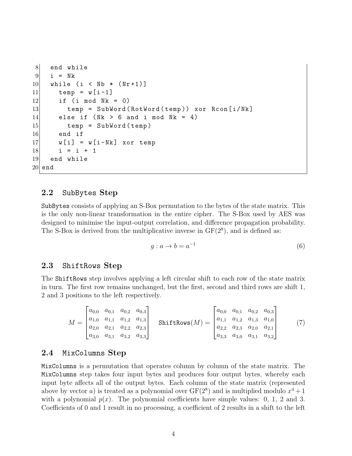```
8 end while
9 i = Nk
10 while (i < Nb * (Nr+1)]
11 temp = w[i-1]12 if (i mod Nk = 0)
13 temp = SubWord (RotWord (temp)) xor Rcon [i/Nk]
14 else if (Nk > 6 and i mod Nk = 4)
15 temp = SubWord (temp)
16 end if
17 w[i] = w[i-Nk] xor temp
18 i = i + 1
19 end while
20 end
```
#### **2.2** SubBytes **Step**

SubBytes consists of applying an S-Box permutation to the bytes of the state matrix. This is the only non-linear transformation in the entire cipher. The S-Box used by AES was designed to minimise the input-output correlation, and difference propagation probability. The S-Box is derived from the multiplicative inverse in  $GF(2<sup>8</sup>)$ , and is defined as:

$$
g: a \to b = a^{-1} \tag{6}
$$

#### **2.3** ShiftRows **Step**

The ShiftRows step involves applying a left circular shift to each row of the state matrix in turn. The first row remains unchanged, but the first, second and third rows are shift 1, 2 and 3 positions to the left respectively.

$$
M = \begin{bmatrix} a_{0,0} & a_{0,1} & a_{0,2} & a_{0,3} \\ a_{1,0} & a_{1,1} & a_{1,2} & a_{1,3} \\ a_{2,0} & a_{2,1} & a_{2,2} & a_{2,3} \\ a_{3,0} & a_{3,1} & a_{3,2} & a_{3,3} \end{bmatrix} \quad \text{ShiftRows}(M) = \begin{bmatrix} a_{0,0} & a_{0,1} & a_{0,2} & a_{0,3} \\ a_{1,1} & a_{1,2} & a_{1,3} & a_{1,0} \\ a_{2,2} & a_{2,3} & a_{2,0} & a_{2,1} \\ a_{3,3} & a_{3,0} & a_{3,1} & a_{3,2} \end{bmatrix} \tag{7}
$$

#### **2.4** MixColumns **Step**

MixColumns is a permutation that operates column by column of the state matrix. The MixColumns step takes four input bytes and produces four output bytes, whereby each input byte affects all of the output bytes. Each column of the state matrix (represented above by vector *a*) is treated as a polynomial over  $GF(2^8)$  and is multiplied modulo  $x^4 + 1$ with a polynomial  $p(x)$ . The polynomial coefficients have simple values: 0, 1, 2 and 3. Coefficients of 0 and 1 result in no processing, a coefficient of 2 results in a shift to the left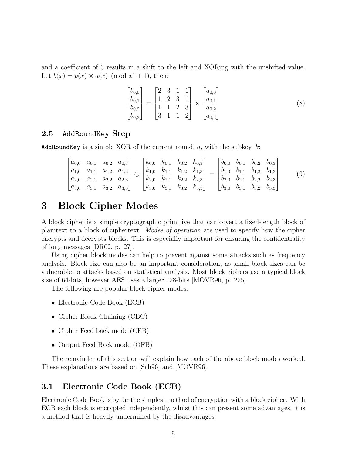and a coefficient of 3 results in a shift to the left and XORing with the unshifted value. Let  $b(x) = p(x) \times a(x) \pmod{x^4 + 1}$ , then:

$$
\begin{bmatrix} b_{0,0} \\ b_{0,1} \\ b_{0,2} \\ b_{0,3} \end{bmatrix} = \begin{bmatrix} 2 & 3 & 1 & 1 \\ 1 & 2 & 3 & 1 \\ 1 & 1 & 2 & 3 \\ 3 & 1 & 1 & 2 \end{bmatrix} \times \begin{bmatrix} a_{0,0} \\ a_{0,1} \\ a_{0,2} \\ a_{0,3} \end{bmatrix}
$$
 (8)

#### **2.5** AddRoundKey **Step**

AddRoundKey is a simple XOR of the current round, *a*, with the subkey, *k*:

$$
\begin{bmatrix} a_{0,0} & a_{0,1} & a_{0,2} & a_{0,3} \ a_{1,0} & a_{1,1} & a_{1,2} & a_{1,3} \ a_{2,0} & a_{2,1} & a_{2,2} & a_{2,3} \ a_{3,0} & a_{3,1} & a_{3,2} & a_{3,3} \end{bmatrix} \oplus \begin{bmatrix} k_{0,0} & k_{0,1} & k_{0,2} & k_{0,3} \ k_{1,0} & k_{1,1} & k_{1,2} & k_{1,3} \ k_{2,0} & k_{2,1} & k_{2,2} & k_{2,3} \ k_{3,0} & k_{3,1} & k_{3,2} & k_{3,3} \end{bmatrix} = \begin{bmatrix} b_{0,0} & b_{0,1} & b_{0,2} & b_{0,3} \ b_{1,0} & b_{1,1} & b_{1,2} & b_{1,3} \ b_{2,0} & b_{2,1} & b_{2,2} & b_{2,3} \ b_{3,0} & b_{3,1} & b_{3,2} & b_{3,3} \end{bmatrix}
$$
(9)

## **3 Block Cipher Modes**

A block cipher is a simple cryptographic primitive that can covert a fixed-length block of plaintext to a block of ciphertext. *Modes of operation* are used to specify how the cipher encrypts and decrypts blocks. This is especially important for ensuring the confidentiality of long messages [DR02, p. 27].

Using cipher block modes can help to prevent against some attacks such as frequency analysis. Block size can also be an important consideration, as small block sizes can be vulnerable to attacks based on statistical analysis. Most block ciphers use a typical block size of 64-bits, however AES uses a larger 128-bits [MOVR96, p. 225].

The following are popular block cipher modes:

- *•* Electronic Code Book (ECB)
- *•* Cipher Block Chaining (CBC)
- Cipher Feed back mode (CFB)
- *•* Output Feed Back mode (OFB)

The remainder of this section will explain how each of the above block modes worked. These explanations are based on [Sch96] and [MOVR96].

#### **3.1 Electronic Code Book (ECB)**

Electronic Code Book is by far the simplest method of encryption with a block cipher. With ECB each block is encrypted independently, whilst this can present some advantages, it is a method that is heavily undermined by the disadvantages.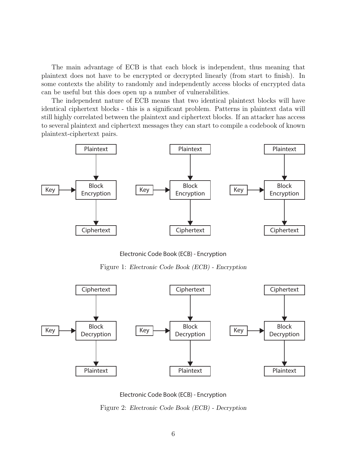The main advantage of ECB is that each block is independent, thus meaning that plaintext does not have to be encrypted or decrypted linearly (from start to finish). In some contexts the ability to randomly and independently access blocks of encrypted data can be useful but this does open up a number of vulnerabilities.

The independent nature of ECB means that two identical plaintext blocks will have identical ciphertext blocks - this is a significant problem. Patterns in plaintext data will still highly correlated between the plaintext and ciphertext blocks. If an attacker has access to several plaintext and ciphertext messages they can start to compile a codebook of known plaintext-ciphertext pairs.



Electronic Code Book (ECB) - Encryption

Figure 1: *Electronic Code Book (ECB) - Encryption*



Electronic Code Book (ECB) - Encryption

Figure 2: *Electronic Code Book (ECB) - Decryption*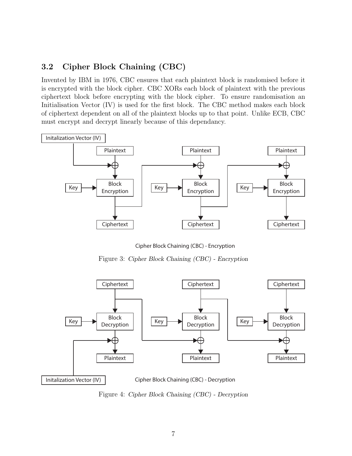### **3.2 Cipher Block Chaining (CBC)**

Invented by IBM in 1976, CBC ensures that each plaintext block is randomised before it is encrypted with the block cipher. CBC XORs each block of plaintext with the previous ciphertext block before encrypting with the block cipher. To ensure randomisation an Initialisation Vector (IV) is used for the first block. The CBC method makes each block of ciphertext dependent on all of the plaintext blocks up to that point. Unlike ECB, CBC must encrypt and decrypt linearly because of this dependancy.



Cipher Block Chaining (CBC) - Encryption

Figure 3: *Cipher Block Chaining (CBC) - Encryption*



Figure 4: *Cipher Block Chaining (CBC) - Decryption*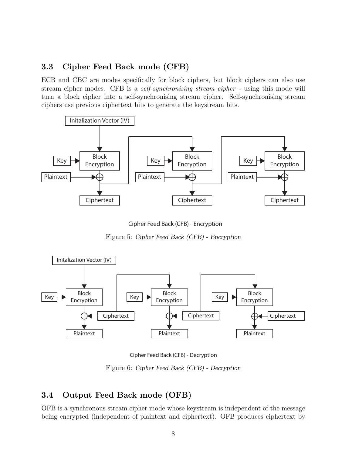### **3.3 Cipher Feed Back mode (CFB)**

ECB and CBC are modes specifically for block ciphers, but block ciphers can also use stream cipher modes. CFB is a *self-synchronising stream cipher* - using this mode will turn a block cipher into a self-synchronising stream cipher. Self-synchronising stream ciphers use previous ciphertext bits to generate the keystream bits.



Cipher Feed Back (CFB) - Encryption

Figure 5: *Cipher Feed Back (CFB) - Encryption*



Cipher Feed Back (CFB) - Decryption

Figure 6: *Cipher Feed Back (CFB) - Decryption*

### **3.4 Output Feed Back mode (OFB)**

OFB is a synchronous stream cipher mode whose keystream is independent of the message being encrypted (independent of plaintext and ciphertext). OFB produces ciphertext by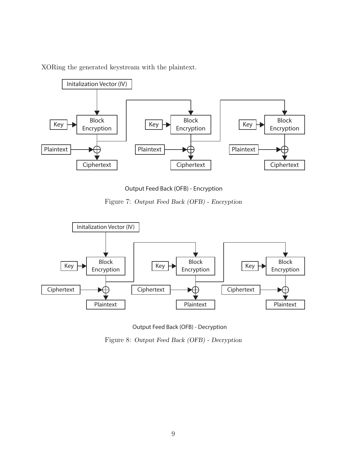



Output Feed Back (OFB) - Encryption

Figure 7: *Output Feed Back (OFB) - Encryption*





Figure 8: *Output Feed Back (OFB) - Decryption*